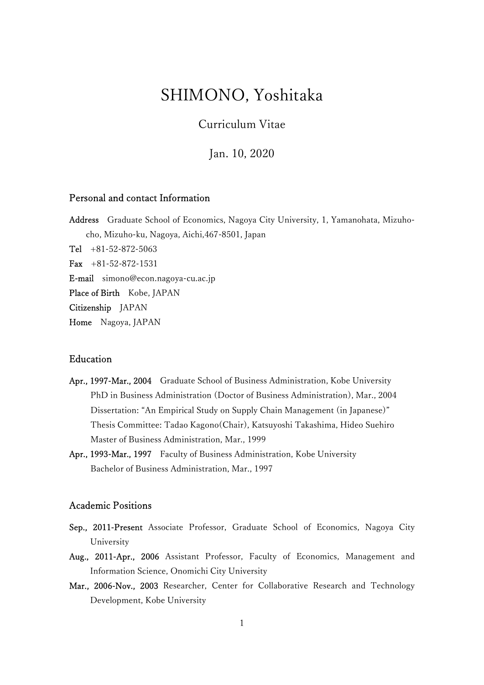# SHIMONO, Yoshitaka

Curriculum Vitae

Jan. 10, 2020

# Personal and contact Information

Address Graduate School of Economics, Nagoya City University, 1, Yamanohata, Mizuhocho, Mizuho-ku, Nagoya, Aichi,467-8501, Japan Tel  $+81-52-872-5063$ Fax  $+81-52-872-1531$ E-mail simono@econ.nagoya-cu.ac.jp Place of Birth Kobe, JAPAN Citizenship JAPAN

Home Nagoya, JAPAN

## Education

- Apr., 1997-Mar., 2004 Graduate School of Business Administration, Kobe University PhD in Business Administration (Doctor of Business Administration), Mar., 2004 Dissertation: "An Empirical Study on Supply Chain Management (in Japanese)" Thesis Committee: Tadao Kagono(Chair), Katsuyoshi Takashima, Hideo Suehiro Master of Business Administration, Mar., 1999
- Apr., 1993-Mar., 1997 Faculty of Business Administration, Kobe University Bachelor of Business Administration, Mar., 1997

# Academic Positions

- Sep., 2011-Present Associate Professor, Graduate School of Economics, Nagoya City University
- Aug., 2011-Apr., 2006 Assistant Professor, Faculty of Economics, Management and Information Science, Onomichi City University
- Mar., 2006-Nov., 2003 Researcher, Center for Collaborative Research and Technology Development, Kobe University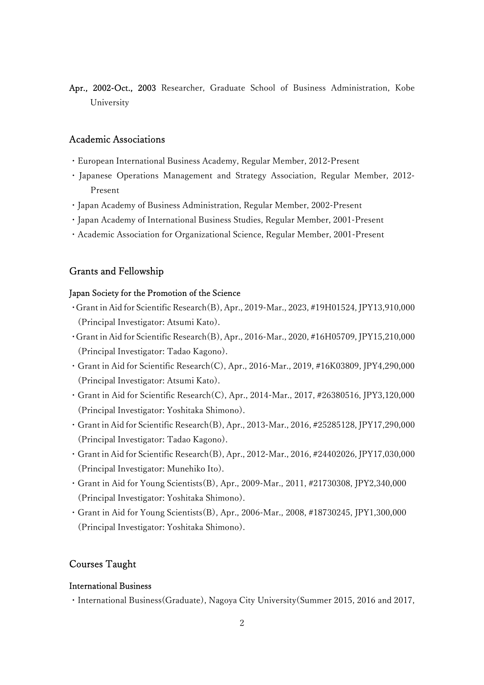Apr., 2002-Oct., 2003 Researcher, Graduate School of Business Administration, Kobe University

#### Academic Associations

- ・European International Business Academy, Regular Member, 2012-Present
- ・ Japanese Operations Management and Strategy Association, Regular Member, 2012- Present
- ・Japan Academy of Business Administration, Regular Member, 2002-Present
- ・Japan Academy of International Business Studies, Regular Member, 2001-Present
- ・Academic Association for Organizational Science, Regular Member, 2001-Present

# Grants and Fellowship

#### Japan Society for the Promotion of the Science

- ・Grant in Aid for Scientific Research(B), Apr., 2019-Mar., 2023, #19H01524, JPY13,910,000 (Principal Investigator: Atsumi Kato).
- ・Grant in Aid for Scientific Research(B), Apr., 2016-Mar., 2020, #16H05709, JPY15,210,000 (Principal Investigator: Tadao Kagono).
- ・Grant in Aid for Scientific Research(C), Apr., 2016-Mar., 2019, #16K03809, JPY4,290,000 (Principal Investigator: Atsumi Kato).
- ・Grant in Aid for Scientific Research(C), Apr., 2014-Mar., 2017, #26380516, JPY3,120,000 (Principal Investigator: Yoshitaka Shimono).
- ・Grant in Aid for Scientific Research(B), Apr., 2013-Mar., 2016, #25285128, JPY17,290,000 (Principal Investigator: Tadao Kagono).
- ・Grant in Aid for Scientific Research(B), Apr., 2012-Mar., 2016, #24402026, JPY17,030,000 (Principal Investigator: Munehiko Ito).
- ・Grant in Aid for Young Scientists(B), Apr., 2009-Mar., 2011, #21730308, JPY2,340,000 (Principal Investigator: Yoshitaka Shimono).
- ・Grant in Aid for Young Scientists(B), Apr., 2006-Mar., 2008, #18730245, JPY1,300,000 (Principal Investigator: Yoshitaka Shimono).

## Courses Taught

#### International Business

・International Business(Graduate), Nagoya City University(Summer 2015, 2016 and 2017,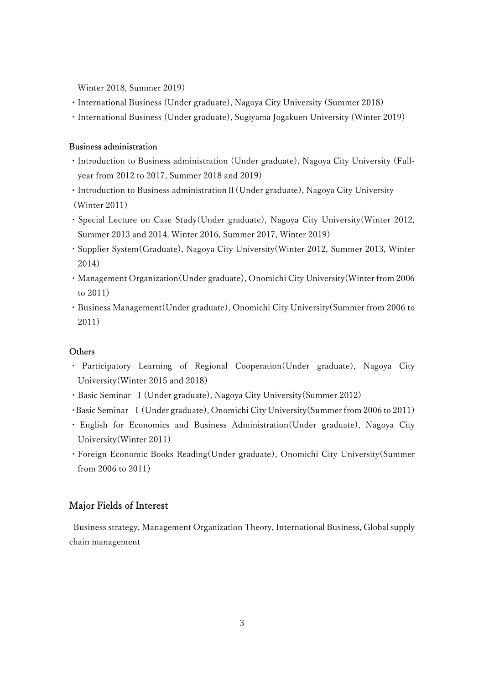Winter 2018, Summer 2019)

- ・International Business (Under graduate), Nagoya City University (Summer 2018)
- ・International Business (Under graduate), Sugiyama Jogakuen University (Winter 2019)

#### Business administration

- ・Introduction to Business administration (Under graduate), Nagoya City University (Fullyear from 2012 to 2017, Summer 2018 and 2019)
- ・Introduction to Business administrationⅡ(Under graduate), Nagoya City University (Winter 2011)
- ・Special Lecture on Case Study(Under graduate), Nagoya City University(Winter 2012, Summer 2013 and 2014, Winter 2016, Summer 2017, Winter 2019)
- ・Supplier System(Graduate), Nagoya City University(Winter 2012, Summer 2013, Winter 2014)
- ・Management Organization(Under graduate), Onomichi City University(Winter from 2006 to 2011)
- ・Business Management(Under graduate), Onomichi City University(Summer from 2006 to 2011)

# **Others**

- ・ Participatory Learning of Regional Cooperation(Under graduate), Nagoya City University(Winter 2015 and 2018)
- ・Basic Seminar Ⅰ(Under graduate), Nagoya City University(Summer 2012)
- ・Basic Seminar Ⅰ(Under graduate), Onomichi City University(Summer from 2006 to 2011)
- ・ English for Economics and Business Administration(Under graduate), Nagoya City University(Winter 2011)
- ・Foreign Economic Books Reading(Under graduate), Onomichi City University(Summer from 2006 to 2011)

# Major Fields of Interest

 Business strategy, Management Organization Theory, International Business, Global supply chain management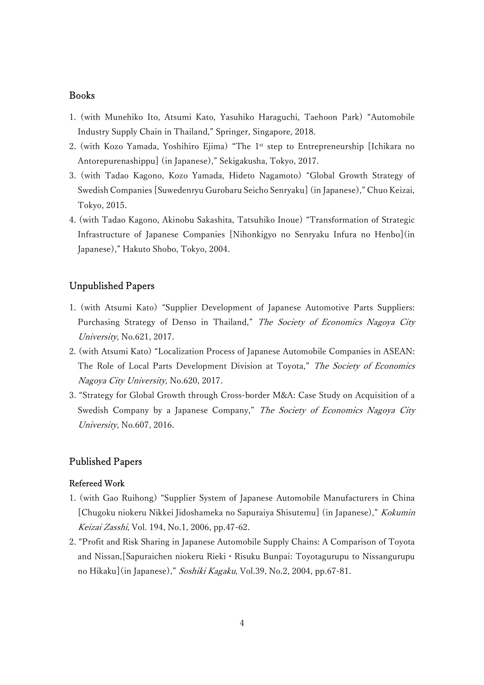# Books

- 1. (with Munehiko Ito, Atsumi Kato, Yasuhiko Haraguchi, Taehoon Park) "Automobile Industry Supply Chain in Thailand," Springer, Singapore, 2018.
- 2. (with Kozo Yamada, Yoshihiro Ejima) "The 1st step to Entrepreneurship [Ichikara no Antorepurenashippu] (in Japanese)," Sekigakusha, Tokyo, 2017.
- 3. (with Tadao Kagono, Kozo Yamada, Hideto Nagamoto) "Global Growth Strategy of Swedish Companies [Suwedenryu Gurobaru Seicho Senryaku] (in Japanese)," Chuo Keizai, Tokyo, 2015.
- 4. (with Tadao Kagono, Akinobu Sakashita, Tatsuhiko Inoue) "Transformation of Strategic Infrastructure of Japanese Companies [Nihonkigyo no Senryaku Infura no Henbo](in Japanese)," Hakuto Shobo, Tokyo, 2004.

# Unpublished Papers

- 1. (with Atsumi Kato) "Supplier Development of Japanese Automotive Parts Suppliers: Purchasing Strategy of Denso in Thailand," The Society of Economics Nagoya City University, No.621, 2017.
- 2. (with Atsumi Kato) "Localization Process of Japanese Automobile Companies in ASEAN: The Role of Local Parts Development Division at Toyota," The Society of Economics Nagoya City University, No.620, 2017.
- 3. "Strategy for Global Growth through Cross-border M&A: Case Study on Acquisition of a Swedish Company by a Japanese Company," The Society of Economics Nagoya City University, No.607, 2016.

# Published Papers

#### Refereed Work

- 1. (with Gao Ruihong) "Supplier System of Japanese Automobile Manufacturers in China [Chugoku niokeru Nikkei Jidoshameka no Sapuraiya Shisutemu] (in Japanese)," Kokumin Keizai Zasshi, Vol. 194, No.1, 2006, pp.47-62.
- 2. "Profit and Risk Sharing in Japanese Automobile Supply Chains: A Comparison of Toyota and Nissan,[Sapuraichen niokeru Rieki・Risuku Bunpai: Toyotagurupu to Nissangurupu no Hikaku](in Japanese)," Soshiki Kagaku, Vol.39, No.2, 2004, pp.67-81.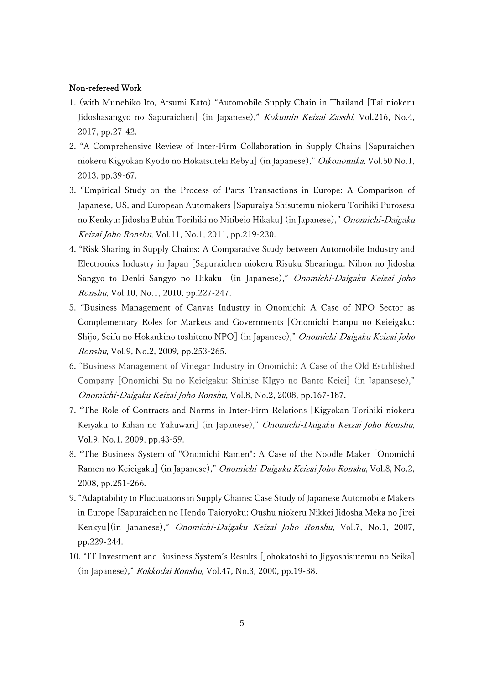#### Non-refereed Work

- 1. (with Munehiko Ito, Atsumi Kato) "Automobile Supply Chain in Thailand [Tai niokeru Jidoshasangyo no Sapuraichen] (in Japanese)," Kokumin Keizai Zasshi, Vol.216, No.4, 2017, pp.27-42.
- 2. "A Comprehensive Review of Inter-Firm Collaboration in Supply Chains [Sapuraichen niokeru Kigyokan Kyodo no Hokatsuteki Rebyu] (in Japanese)," Oikonomika, Vol.50 No.1, 2013, pp.39-67.
- 3. "Empirical Study on the Process of Parts Transactions in Europe: A Comparison of Japanese, US, and European Automakers [Sapuraiya Shisutemu niokeru Torihiki Purosesu no Kenkyu: Jidosha Buhin Torihiki no Nitibeio Hikaku] (in Japanese)," Onomichi-Daigaku Keizai Joho Ronshu, Vol.11, No.1, 2011, pp.219-230.
- 4. "Risk Sharing in Supply Chains: A Comparative Study between Automobile Industry and Electronics Industry in Japan [Sapuraichen niokeru Risuku Shearingu: Nihon no Jidosha Sangyo to Denki Sangyo no Hikaku] (in Japanese)," Onomichi-Daigaku Keizai Joho Ronshu, Vol.10, No.1, 2010, pp.227-247.
- 5. "Business Management of Canvas Industry in Onomichi: A Case of NPO Sector as Complementary Roles for Markets and Governments [Onomichi Hanpu no Keieigaku: Shijo, Seifu no Hokankino toshiteno NPO] (in Japanese)," Onomichi-Daigaku Keizai Joho Ronshu, Vol.9, No.2, 2009, pp.253-265.
- 6. "Business Management of Vinegar Industry in Onomichi: A Case of the Old Established Company [Onomichi Su no Keieigaku: Shinise KIgyo no Banto Keiei] (in Japansese)," Onomichi-Daigaku Keizai Joho Ronshu, Vol.8, No.2, 2008, pp.167-187.
- 7. "The Role of Contracts and Norms in Inter-Firm Relations [Kigyokan Torihiki niokeru Keiyaku to Kihan no Yakuwari] (in Japanese)," Onomichi-Daigaku Keizai Joho Ronshu, Vol.9, No.1, 2009, pp.43-59.
- 8. "The Business System of "Onomichi Ramen": A Case of the Noodle Maker [Onomichi Ramen no Keieigaku] (in Japanese)," Onomichi-Daigaku Keizai Joho Ronshu, Vol.8, No.2, 2008, pp.251-266.
- 9. "Adaptability to Fluctuations in Supply Chains: Case Study of Japanese Automobile Makers in Europe [Sapuraichen no Hendo Taioryoku: Oushu niokeru Nikkei Jidosha Meka no Jirei Kenkyu](in Japanese)," Onomichi-Daigaku Keizai Joho Ronshu, Vol.7, No.1, 2007, pp.229-244.
- 10. "IT Investment and Business System's Results [Johokatoshi to Jigyoshisutemu no Seika] (in Japanese)," Rokkodai Ronshu, Vol.47, No.3, 2000, pp.19-38.